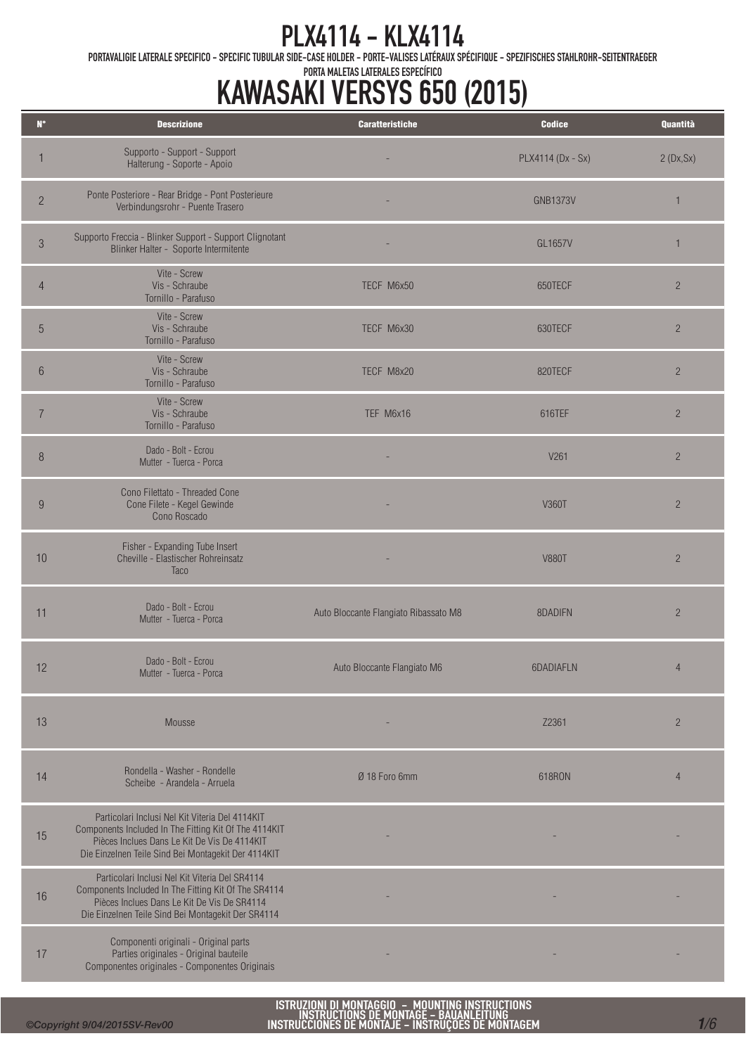PORTAVALIGIE LATERALE SPECIFICO - SPECIFIC TUBULAR SIDE-CASE HOLDER - PORTE-VALISES LATÉRAUX SPÉCIFIQUE - SPEZIFISCHES STAHLROHR-SEITENTRAEGER

### PORTA MALETAS LATERALES ESPECÍFICO KAWASAKI VERSYS 650 (2015)

| $\mathbf{N}^\circ$ | <b>Descrizione</b>                                                                                                                                                                                              | <b>Caratteristiche</b>                | <b>Codice</b>     | Quantità       |
|--------------------|-----------------------------------------------------------------------------------------------------------------------------------------------------------------------------------------------------------------|---------------------------------------|-------------------|----------------|
|                    | Supporto - Support - Support<br>Halterung - Soporte - Apoio                                                                                                                                                     |                                       | PLX4114 (Dx - Sx) | 2(Dx, Sx)      |
| $\overline{2}$     | Ponte Posteriore - Rear Bridge - Pont Posterieure<br>Verbindungsrohr - Puente Trasero                                                                                                                           |                                       | <b>GNB1373V</b>   | 1              |
| $\mathfrak{Z}$     | Supporto Freccia - Blinker Support - Support Clignotant<br>Blinker Halter - Soporte Intermitente                                                                                                                |                                       | GL1657V           | $\mathbf{1}$   |
| 4                  | Vite - Screw<br>Vis - Schraube<br>Tornillo - Parafuso                                                                                                                                                           | TECF M6x50                            | 650TECF           | $\overline{2}$ |
| 5                  | Vite - Screw<br>Vis - Schraube<br>Tornillo - Parafuso                                                                                                                                                           | TECF M6x30                            | 630TECF           | $\overline{2}$ |
| $6\phantom{.}6$    | Vite - Screw<br>Vis - Schraube<br>Tornillo - Parafuso                                                                                                                                                           | TECF M8x20                            | 820TECF           | $\overline{2}$ |
| $\overline{7}$     | Vite - Screw<br>Vis - Schraube<br>Tornillo - Parafuso                                                                                                                                                           | TEF M6x16                             | 616TEF            | $\overline{2}$ |
| $\, 8$             | Dado - Bolt - Ecrou<br>Mutter - Tuerca - Porca                                                                                                                                                                  |                                       | V261              | $\overline{2}$ |
| 9                  | Cono Filettato - Threaded Cone<br>Cone Filete - Kegel Gewinde<br>Cono Roscado                                                                                                                                   |                                       | V360T             | $\overline{2}$ |
| 10                 | Fisher - Expanding Tube Insert<br>Cheville - Elastischer Rohreinsatz<br><b>Taco</b>                                                                                                                             |                                       | <b>V880T</b>      | $\overline{2}$ |
| 11                 | Dado - Bolt - Ecrou<br>Mutter - Tuerca - Porca                                                                                                                                                                  | Auto Bloccante Flangiato Ribassato M8 | 8DADIFN           | $\overline{c}$ |
| 12                 | Dado - Bolt - Ecrou<br>Mutter - Tuerca - Porca                                                                                                                                                                  | Auto Bloccante Flangiato M6           | 6DADIAFLN         | $\overline{4}$ |
| 13                 | Mousse                                                                                                                                                                                                          |                                       | Z2361             | $\overline{2}$ |
| 14                 | Rondella - Washer - Rondelle<br>Scheibe - Arandela - Arruela                                                                                                                                                    | Ø 18 Foro 6mm                         | 618RON            | $\overline{4}$ |
| 15                 | Particolari Inclusi Nel Kit Viteria Del 4114KIT<br>Components Included In The Fitting Kit Of The 4114KIT<br>Pièces Inclues Dans Le Kit De Vis De 4114KIT<br>Die Einzelnen Teile Sind Bei Montagekit Der 4114KIT |                                       |                   |                |
| 16                 | Particolari Inclusi Nel Kit Viteria Del SR4114<br>Components Included In The Fitting Kit Of The SR4114<br>Pièces Inclues Dans Le Kit De Vis De SR4114<br>Die Einzelnen Teile Sind Bei Montagekit Der SR4114     |                                       |                   |                |
| 17                 | Componenti originali - Original parts<br>Parties originales - Original bauteile<br>Componentes originales - Componentes Originais                                                                               |                                       |                   |                |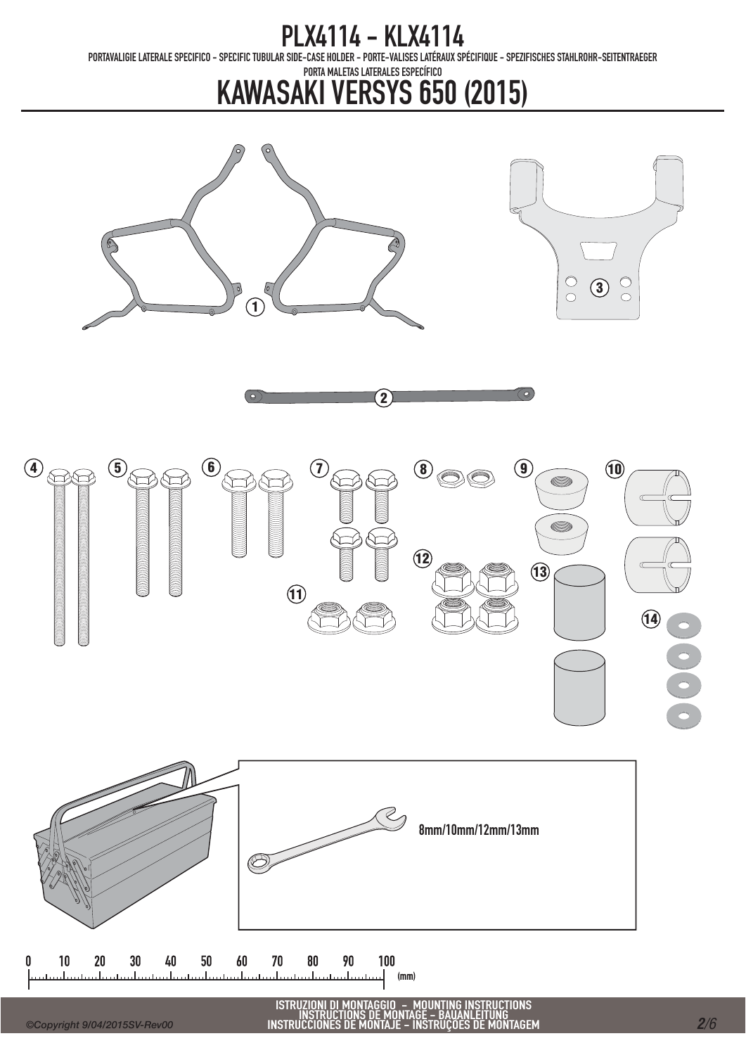PORTAVALIGIE LATERALE SPECIFICO - SPECIFIC TUBULAR SIDE-CASE HOLDER - PORTE-VALISES LATÉRAUX SPÉCIFIQUE - SPEZIFISCHES STAHLROHR-SEITENTRAEGER

PORTA MALETAS LATERALES ESPECÍFICO

# KAWASAKI VERSYS 650 (2015)







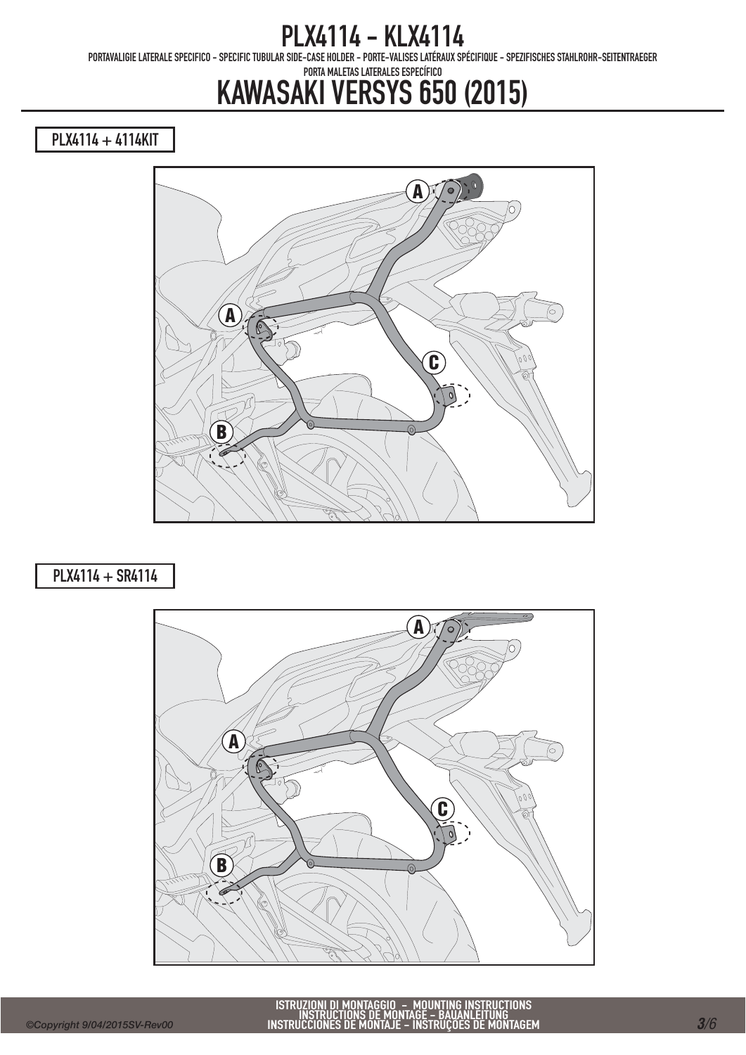PORTAVALIGIE LATERALE SPECIFICO - SPECIFIC TUBULAR SIDE-CASE HOLDER - PORTE-VALISES LATÉRAUX SPÉCIFIQUE - SPEZIFISCHES STAHLROHR-SEITENTRAEGER

#### PORTA MALETAS LATERALES ESPECÍFICO KAWASAKI VERSYS 650 (2015)

PLX4114 + 4114KIT



### PLX4114 + SR4114

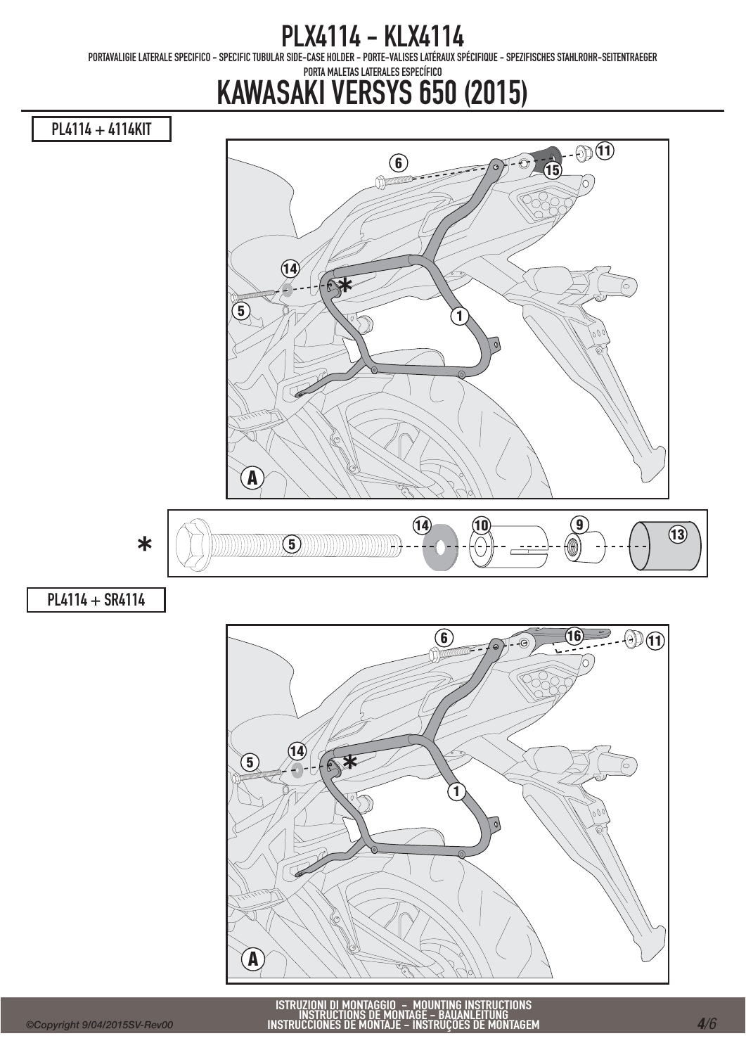PORTAVALIGIE LATERALE SPECIFICO - SPECIFIC TUBULAR SIDE-CASE HOLDER - PORTE-VALISES LATÉRAUX SPÉCIFIQUE - SPEZIFISCHES STAHLROHR-SEITENTRAEGER

### PORTA MALETAS LATERALES ESPECÍFICO KAWASAKI VERSYS 650 (2015)

PL4114 + 4114KIT

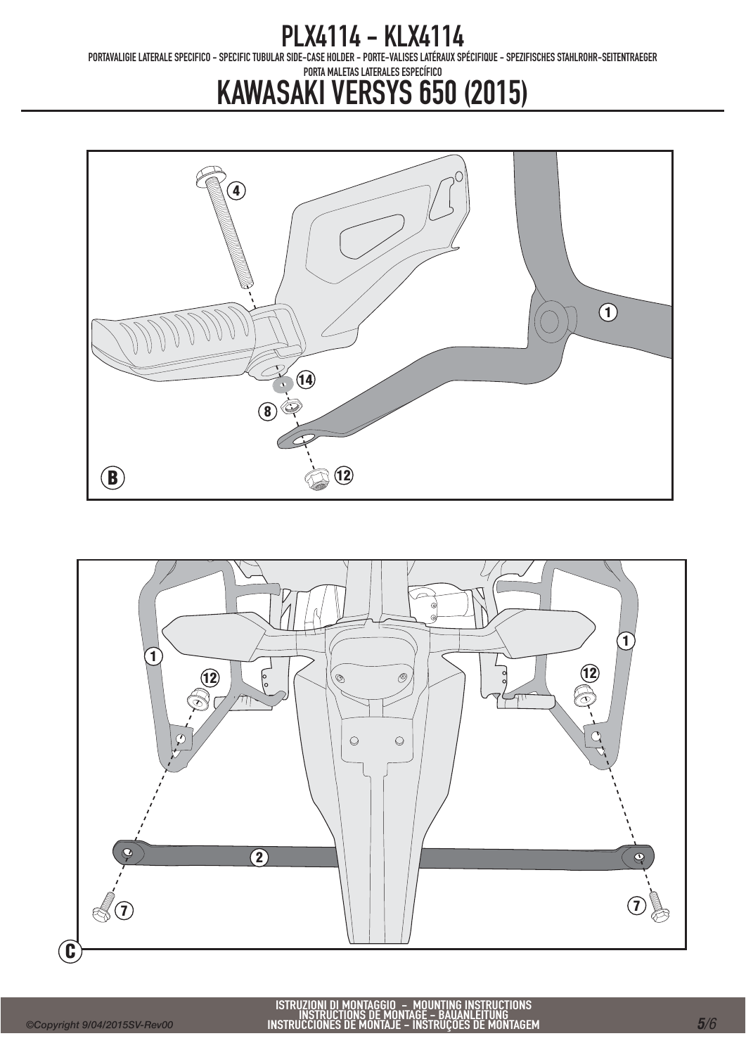PORTAVALIGIE LATERALE SPECIFICO - SPECIFIC TUBULAR SIDE-CASE HOLDER - PORTE-VALISES LATÉRAUX SPÉCIFIQUE - SPEZIFISCHES STAHLROHR-SEITENTRAEGER

#### PORTA MALETAS LATERALES ESPECÍFICO KAWASAKI VERSYS 650 (2015)